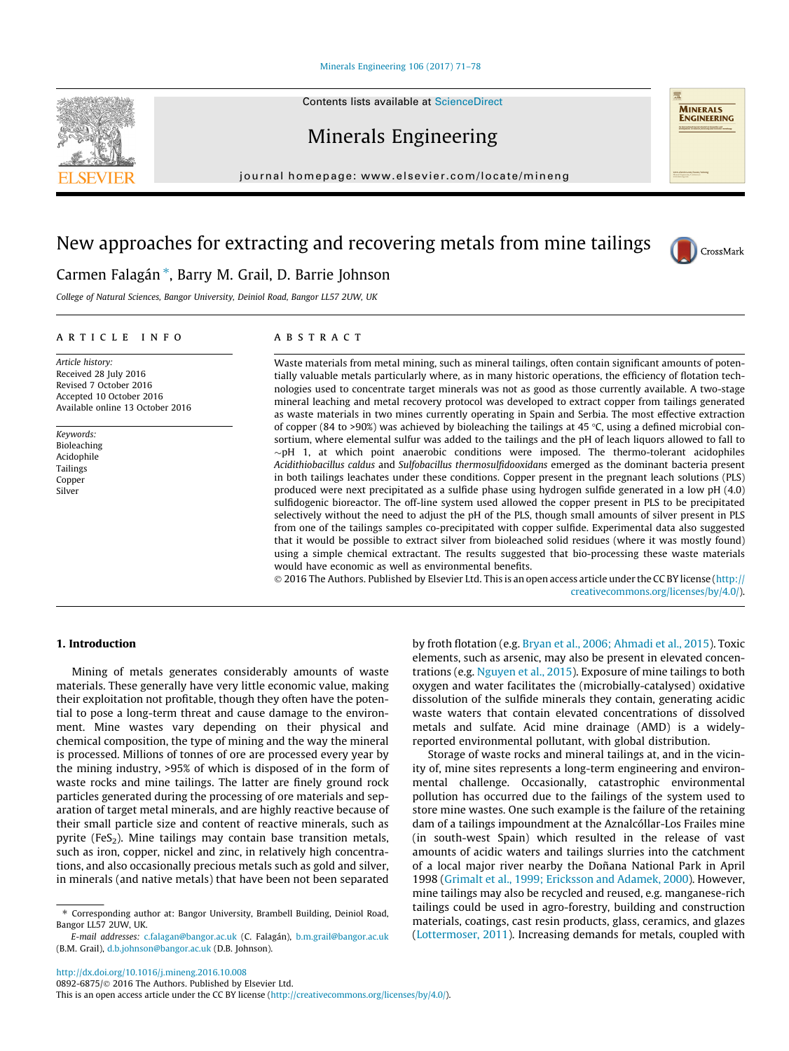#### [Minerals Engineering 106 \(2017\) 71–78](http://dx.doi.org/10.1016/j.mineng.2016.10.008)

Minerals Engineering

journal homepage: [www.elsevier.com/locate/mineng](http://www.elsevier.com/locate/mineng)

# New approaches for extracting and recovering metals from mine tailings

# Carmen Falagán<sup>\*</sup>, Barry M. Grail, D. Barrie Johnson

College of Natural Sciences, Bangor University, Deiniol Road, Bangor LL57 2UW, UK

## article info

Article history: Received 28 July 2016 Revised 7 October 2016 Accepted 10 October 2016 Available online 13 October 2016

Keywords: Bioleaching Acidophile Tailings Copper Silver

## **ABSTRACT**

Waste materials from metal mining, such as mineral tailings, often contain significant amounts of potentially valuable metals particularly where, as in many historic operations, the efficiency of flotation technologies used to concentrate target minerals was not as good as those currently available. A two-stage mineral leaching and metal recovery protocol was developed to extract copper from tailings generated as waste materials in two mines currently operating in Spain and Serbia. The most effective extraction of copper (84 to >90%) was achieved by bioleaching the tailings at 45 °C, using a defined microbial consortium, where elemental sulfur was added to the tailings and the pH of leach liquors allowed to fall to  $\sim$ pH 1, at which point anaerobic conditions were imposed. The thermo-tolerant acidophiles Acidithiobacillus caldus and Sulfobacillus thermosulfidooxidans emerged as the dominant bacteria present in both tailings leachates under these conditions. Copper present in the pregnant leach solutions (PLS) produced were next precipitated as a sulfide phase using hydrogen sulfide generated in a low pH (4.0) sulfidogenic bioreactor. The off-line system used allowed the copper present in PLS to be precipitated selectively without the need to adjust the pH of the PLS, though small amounts of silver present in PLS from one of the tailings samples co-precipitated with copper sulfide. Experimental data also suggested that it would be possible to extract silver from bioleached solid residues (where it was mostly found) using a simple chemical extractant. The results suggested that bio-processing these waste materials would have economic as well as environmental benefits.

 2016 The Authors. Published by Elsevier Ltd. This is an open access article under the CC BY license ([http://](http://creativecommons.org/licenses/by/4.0/) [creativecommons.org/licenses/by/4.0/](http://creativecommons.org/licenses/by/4.0/)).

### 1. Introduction

Mining of metals generates considerably amounts of waste materials. These generally have very little economic value, making their exploitation not profitable, though they often have the potential to pose a long-term threat and cause damage to the environment. Mine wastes vary depending on their physical and chemical composition, the type of mining and the way the mineral is processed. Millions of tonnes of ore are processed every year by the mining industry, >95% of which is disposed of in the form of waste rocks and mine tailings. The latter are finely ground rock particles generated during the processing of ore materials and separation of target metal minerals, and are highly reactive because of their small particle size and content of reactive minerals, such as pyrite (FeS<sub>2</sub>). Mine tailings may contain base transition metals, such as iron, copper, nickel and zinc, in relatively high concentrations, and also occasionally precious metals such as gold and silver, in minerals (and native metals) that have been not been separated

elements, such as arsenic, may also be present in elevated concentrations (e.g. [Nguyen et al., 2015](#page-6-0)). Exposure of mine tailings to both oxygen and water facilitates the (microbially-catalysed) oxidative dissolution of the sulfide minerals they contain, generating acidic waste waters that contain elevated concentrations of dissolved metals and sulfate. Acid mine drainage (AMD) is a widelyreported environmental pollutant, with global distribution. Storage of waste rocks and mineral tailings at, and in the vicinity of, mine sites represents a long-term engineering and environ-

by froth flotation (e.g. [Bryan et al., 2006; Ahmadi et al., 2015\)](#page-6-0). Toxic

mental challenge. Occasionally, catastrophic environmental pollution has occurred due to the failings of the system used to store mine wastes. One such example is the failure of the retaining dam of a tailings impoundment at the Aznalcóllar-Los Frailes mine (in south-west Spain) which resulted in the release of vast amounts of acidic waters and tailings slurries into the catchment of a local major river nearby the Doñana National Park in April 1998 ([Grimalt et al., 1999; Ericksson and Adamek, 2000\)](#page-6-0). However, mine tailings may also be recycled and reused, e.g. manganese-rich tailings could be used in agro-forestry, building and construction materials, coatings, cast resin products, glass, ceramics, and glazes ([Lottermoser, 2011\)](#page-6-0). Increasing demands for metals, coupled with







<sup>⇑</sup> Corresponding author at: Bangor University, Brambell Building, Deiniol Road, Bangor LL57 2UW, UK.

E-mail addresses: [c.falagan@bangor.ac.uk](mailto:c.falagan@bangor.ac.uk) (C. Falagán), [b.m.grail@bangor.ac.uk](mailto:b.m.grail@bangor.ac.uk) (B.M. Grail), [d.b.johnson@bangor.ac.uk](mailto:d.b.johnson@bangor.ac.uk) (D.B. Johnson).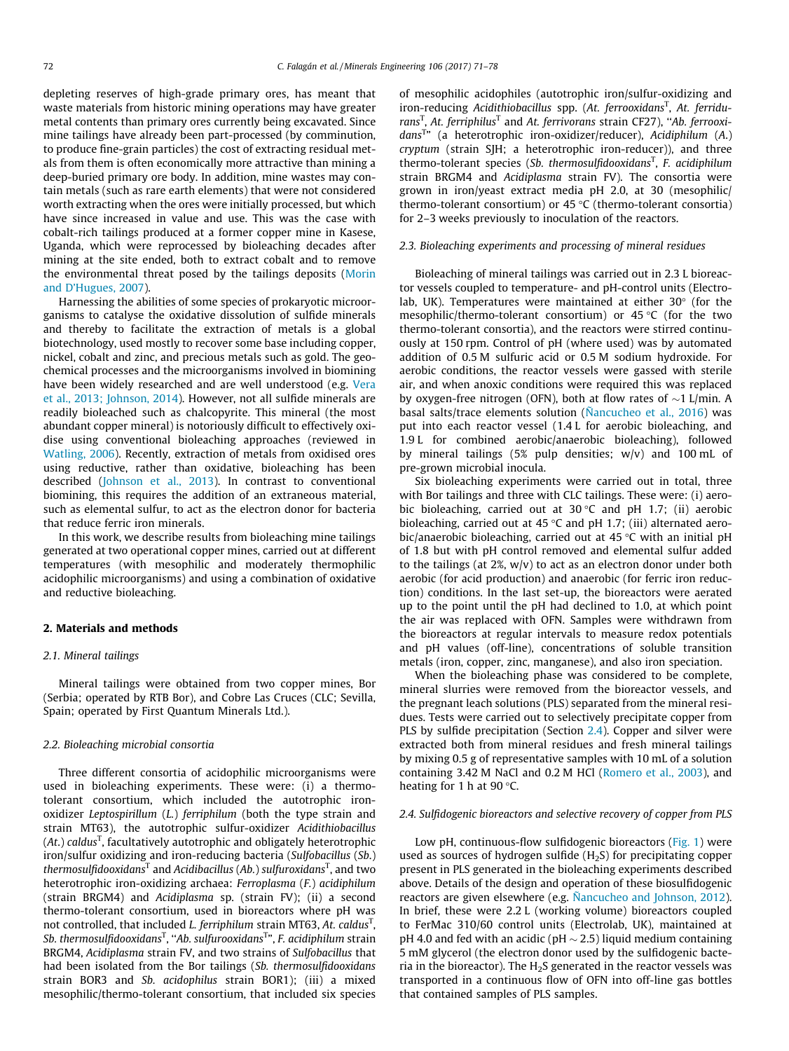depleting reserves of high-grade primary ores, has meant that waste materials from historic mining operations may have greater metal contents than primary ores currently being excavated. Since mine tailings have already been part-processed (by comminution, to produce fine-grain particles) the cost of extracting residual metals from them is often economically more attractive than mining a deep-buried primary ore body. In addition, mine wastes may contain metals (such as rare earth elements) that were not considered worth extracting when the ores were initially processed, but which have since increased in value and use. This was the case with cobalt-rich tailings produced at a former copper mine in Kasese, Uganda, which were reprocessed by bioleaching decades after mining at the site ended, both to extract cobalt and to remove the environmental threat posed by the tailings deposits ([Morin](#page-6-0) [and D'Hugues, 2007\)](#page-6-0).

Harnessing the abilities of some species of prokaryotic microorganisms to catalyse the oxidative dissolution of sulfide minerals and thereby to facilitate the extraction of metals is a global biotechnology, used mostly to recover some base including copper, nickel, cobalt and zinc, and precious metals such as gold. The geochemical processes and the microorganisms involved in biomining have been widely researched and are well understood (e.g. [Vera](#page-7-0) [et al., 2013; Johnson, 2014\)](#page-7-0). However, not all sulfide minerals are readily bioleached such as chalcopyrite. This mineral (the most abundant copper mineral) is notoriously difficult to effectively oxidise using conventional bioleaching approaches (reviewed in [Watling, 2006\)](#page-7-0). Recently, extraction of metals from oxidised ores using reductive, rather than oxidative, bioleaching has been described ([Johnson et al., 2013\)](#page-6-0). In contrast to conventional biomining, this requires the addition of an extraneous material, such as elemental sulfur, to act as the electron donor for bacteria that reduce ferric iron minerals.

In this work, we describe results from bioleaching mine tailings generated at two operational copper mines, carried out at different temperatures (with mesophilic and moderately thermophilic acidophilic microorganisms) and using a combination of oxidative and reductive bioleaching.

#### 2. Materials and methods

#### 2.1. Mineral tailings

Mineral tailings were obtained from two copper mines, Bor (Serbia; operated by RTB Bor), and Cobre Las Cruces (CLC; Sevilla, Spain; operated by First Quantum Minerals Ltd.).

#### 2.2. Bioleaching microbial consortia

Three different consortia of acidophilic microorganisms were used in bioleaching experiments. These were: (i) a thermotolerant consortium, which included the autotrophic ironoxidizer Leptospirillum (L.) ferriphilum (both the type strain and strain MT63), the autotrophic sulfur-oxidizer Acidithiobacillus (At.) caldus<sup>T</sup>, facultatively autotrophic and obligately heterotrophic iron/sulfur oxidizing and iron-reducing bacteria (Sulfobacillus (Sb.) thermosulfidooxidans $^{\mathtt{T}}$  and Acidibacillus (Ab.) sulfuroxidans $^{\mathtt{T}}$ , and two heterotrophic iron-oxidizing archaea: Ferroplasma (F.) acidiphilum (strain BRGM4) and Acidiplasma sp. (strain FV); (ii) a second thermo-tolerant consortium, used in bioreactors where pH was not controlled, that included *L. ferriphilum s*train MT63, At. caldus<sup>T</sup>, Sb. thermosulfidooxidans $^{\text{\tiny{\text{T}}}}$ , "Ab. sulfurooxidans $^{\text{\tiny{\text{T}}}}$ ", F. acidiphilum strain BRGM4, Acidiplasma strain FV, and two strains of Sulfobacillus that had been isolated from the Bor tailings (Sb. thermosulfidooxidans strain BOR3 and Sb. acidophilus strain BOR1); (iii) a mixed mesophilic/thermo-tolerant consortium, that included six species of mesophilic acidophiles (autotrophic iron/sulfur-oxidizing and iron-reducing Acidithiobacillus spp. (At. ferrooxidans<sup>T</sup>, At. ferridurans<sup>T</sup>, At. ferriphilus<sup>T</sup> and At. ferrivorans strain CF27), "Ab. ferrooxidans<sup>T</sup>" (a heterotrophic iron-oxidizer/reducer), Acidiphilum (A.) cryptum (strain SJH; a heterotrophic iron-reducer)), and three thermo-tolerant species (Sb. thermosulfidooxidans<sup>T</sup>, F. acidiphilum strain BRGM4 and Acidiplasma strain FV). The consortia were grown in iron/yeast extract media pH 2.0, at 30 (mesophilic/ thermo-tolerant consortium) or  $45 °C$  (thermo-tolerant consortia) for 2–3 weeks previously to inoculation of the reactors.

#### 2.3. Bioleaching experiments and processing of mineral residues

Bioleaching of mineral tailings was carried out in 2.3 L bioreactor vessels coupled to temperature- and pH-control units (Electrolab, UK). Temperatures were maintained at either  $30^{\circ}$  (for the mesophilic/thermo-tolerant consortium) or  $45^{\circ}$ C (for the two thermo-tolerant consortia), and the reactors were stirred continuously at 150 rpm. Control of pH (where used) was by automated addition of 0.5 M sulfuric acid or 0.5 M sodium hydroxide. For aerobic conditions, the reactor vessels were gassed with sterile air, and when anoxic conditions were required this was replaced by oxygen-free nitrogen (OFN), both at flow rates of  $\sim$ 1 L/min. A basal salts/trace elements solution [\(Ñancucheo et al., 2016](#page-6-0)) was put into each reactor vessel (1.4 L for aerobic bioleaching, and 1.9 L for combined aerobic/anaerobic bioleaching), followed by mineral tailings (5% pulp densities; w/v) and 100 mL of pre-grown microbial inocula.

Six bioleaching experiments were carried out in total, three with Bor tailings and three with CLC tailings. These were: (i) aerobic bioleaching, carried out at  $30^{\circ}$ C and pH 1.7; (ii) aerobic bioleaching, carried out at 45 °C and pH 1.7; (iii) alternated aerobic/anaerobic bioleaching, carried out at 45  $\degree$ C with an initial pH of 1.8 but with pH control removed and elemental sulfur added to the tailings (at  $2\%$ ,  $w/v$ ) to act as an electron donor under both aerobic (for acid production) and anaerobic (for ferric iron reduction) conditions. In the last set-up, the bioreactors were aerated up to the point until the pH had declined to 1.0, at which point the air was replaced with OFN. Samples were withdrawn from the bioreactors at regular intervals to measure redox potentials and pH values (off-line), concentrations of soluble transition metals (iron, copper, zinc, manganese), and also iron speciation.

When the bioleaching phase was considered to be complete, mineral slurries were removed from the bioreactor vessels, and the pregnant leach solutions (PLS) separated from the mineral residues. Tests were carried out to selectively precipitate copper from PLS by sulfide precipitation (Section 2.4). Copper and silver were extracted both from mineral residues and fresh mineral tailings by mixing 0.5 g of representative samples with 10 mL of a solution containing 3.42 M NaCl and 0.2 M HCl [\(Romero et al., 2003\)](#page-6-0), and heating for 1 h at 90 $\degree$ C.

#### 2.4. Sulfidogenic bioreactors and selective recovery of copper from PLS

Low pH, continuous-flow sulfidogenic bioreactors ([Fig. 1](#page-2-0)) were used as sources of hydrogen sulfide  $(H_2S)$  for precipitating copper present in PLS generated in the bioleaching experiments described above. Details of the design and operation of these biosulfidogenic reactors are given elsewhere (e.g. [Ñancucheo and Johnson, 2012\)](#page-6-0). In brief, these were 2.2 L (working volume) bioreactors coupled to FerMac 310/60 control units (Electrolab, UK), maintained at pH 4.0 and fed with an acidic (pH  $\sim$  2.5) liquid medium containing 5 mM glycerol (the electron donor used by the sulfidogenic bacteria in the bioreactor). The  $H_2S$  generated in the reactor vessels was transported in a continuous flow of OFN into off-line gas bottles that contained samples of PLS samples.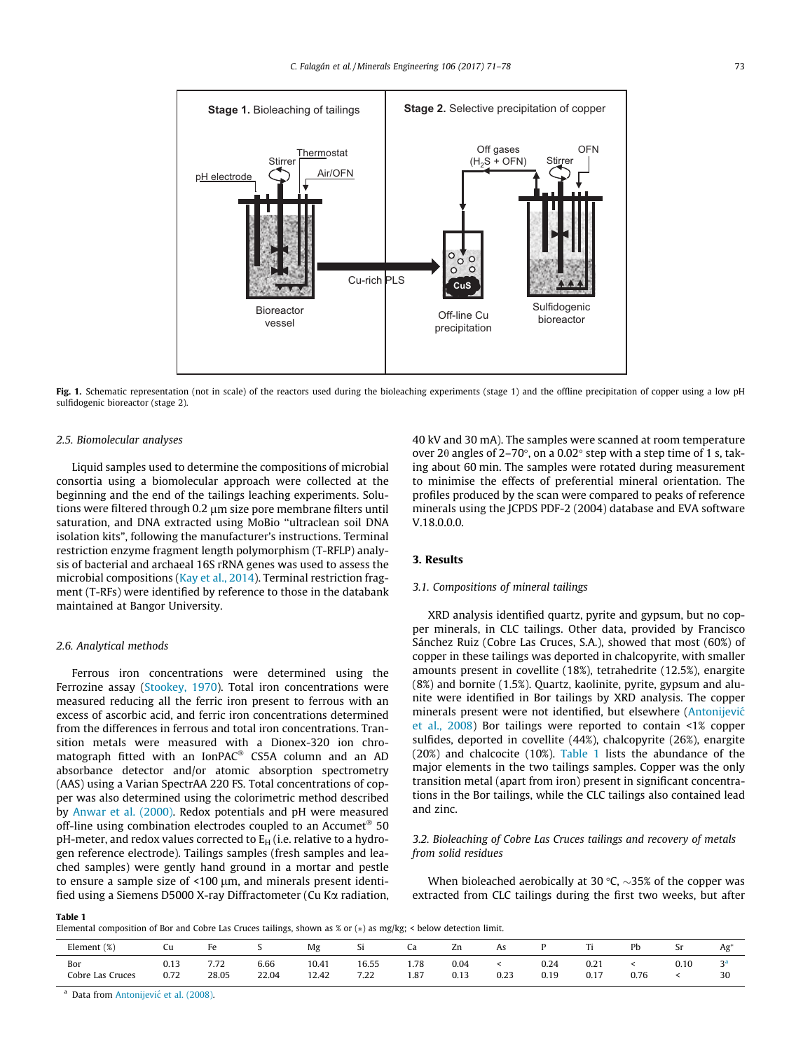<span id="page-2-0"></span>

Fig. 1. Schematic representation (not in scale) of the reactors used during the bioleaching experiments (stage 1) and the offline precipitation of copper using a low pH sulfidogenic bioreactor (stage 2).

#### 2.5. Biomolecular analyses

Liquid samples used to determine the compositions of microbial consortia using a biomolecular approach were collected at the beginning and the end of the tailings leaching experiments. Solutions were filtered through 0.2 µm size pore membrane filters until saturation, and DNA extracted using MoBio ''ultraclean soil DNA isolation kits", following the manufacturer's instructions. Terminal restriction enzyme fragment length polymorphism (T-RFLP) analysis of bacterial and archaeal 16S rRNA genes was used to assess the microbial compositions ([Kay et al., 2014](#page-6-0)). Terminal restriction fragment (T-RFs) were identified by reference to those in the databank maintained at Bangor University.

#### 2.6. Analytical methods

Ferrous iron concentrations were determined using the Ferrozine assay [\(Stookey, 1970\)](#page-7-0). Total iron concentrations were measured reducing all the ferric iron present to ferrous with an excess of ascorbic acid, and ferric iron concentrations determined from the differences in ferrous and total iron concentrations. Transition metals were measured with a Dionex-320 ion chromatograph fitted with an  $IonPAC^@$  CS5A column and an AD absorbance detector and/or atomic absorption spectrometry (AAS) using a Varian SpectrAA 220 FS. Total concentrations of copper was also determined using the colorimetric method described by [Anwar et al. \(2000\)](#page-6-0). Redox potentials and pH were measured off-line using combination electrodes coupled to an Accumet<sup>®</sup> 50 pH-meter, and redox values corrected to  $E_H$  (i.e. relative to a hydrogen reference electrode). Tailings samples (fresh samples and leached samples) were gently hand ground in a mortar and pestle to ensure a sample size of  $\leq 100 \mu m$ , and minerals present identified using a Siemens D5000 X-ray Diffractometer (Cu  $K\alpha$  radiation, 40 kV and 30 mA). The samples were scanned at room temperature over 2 $\theta$  angles of 2-70°, on a 0.02° step with a step time of 1 s, taking about 60 min. The samples were rotated during measurement to minimise the effects of preferential mineral orientation. The profiles produced by the scan were compared to peaks of reference minerals using the JCPDS PDF-2 (2004) database and EVA software V.18.0.0.0.

## 3. Results

#### 3.1. Compositions of mineral tailings

XRD analysis identified quartz, pyrite and gypsum, but no copper minerals, in CLC tailings. Other data, provided by Francisco Sánchez Ruiz (Cobre Las Cruces, S.A.), showed that most (60%) of copper in these tailings was deported in chalcopyrite, with smaller amounts present in covellite (18%), tetrahedrite (12.5%), enargite (8%) and bornite (1.5%). Quartz, kaolinite, pyrite, gypsum and alunite were identified in Bor tailings by XRD analysis. The copper minerals present were not identified, but elsewhere ([Antonijevic´](#page-6-0) [et al., 2008\)](#page-6-0) Bor tailings were reported to contain <1% copper sulfides, deported in covellite (44%), chalcopyrite (26%), enargite (20%) and chalcocite (10%). Table 1 lists the abundance of the major elements in the two tailings samples. Copper was the only transition metal (apart from iron) present in significant concentrations in the Bor tailings, while the CLC tailings also contained lead and zinc.

## 3.2. Bioleaching of Cobre Las Cruces tailings and recovery of metals from solid residues

When bioleached aerobically at 30 °C,  $\sim$ 35% of the copper was extracted from CLC tailings during the first two weeks, but after

#### Table 1

Elemental composition of Bor and Cobre Las Cruces tailings, shown as % or ( $*$ ) as mg/kg; < below detection limit.

| Element (%)             | Ċu           | Fe                                                          |               | Mg             | ◡                  | Čd           | zn                | As   |              | m.           | Pb   | ັ    | Ag        |
|-------------------------|--------------|-------------------------------------------------------------|---------------|----------------|--------------------|--------------|-------------------|------|--------------|--------------|------|------|-----------|
| Bor<br>Cobre Las Cruces | 0.13<br>0.72 | $- - -$<br>7.72<br>the contract of the contract of<br>28.05 | 6.66<br>22.04 | 10.41<br>12.42 | 16.55<br>.<br>7.22 | 1.78<br>1.87 | 0.04<br>.<br>0.13 | 0.23 | 0.24<br>0.19 | 0.21<br>0.17 | 0.76 | 0.10 | oa.<br>30 |

<sup>a</sup> Data from Antonijević [et al. \(2008\).](#page-6-0)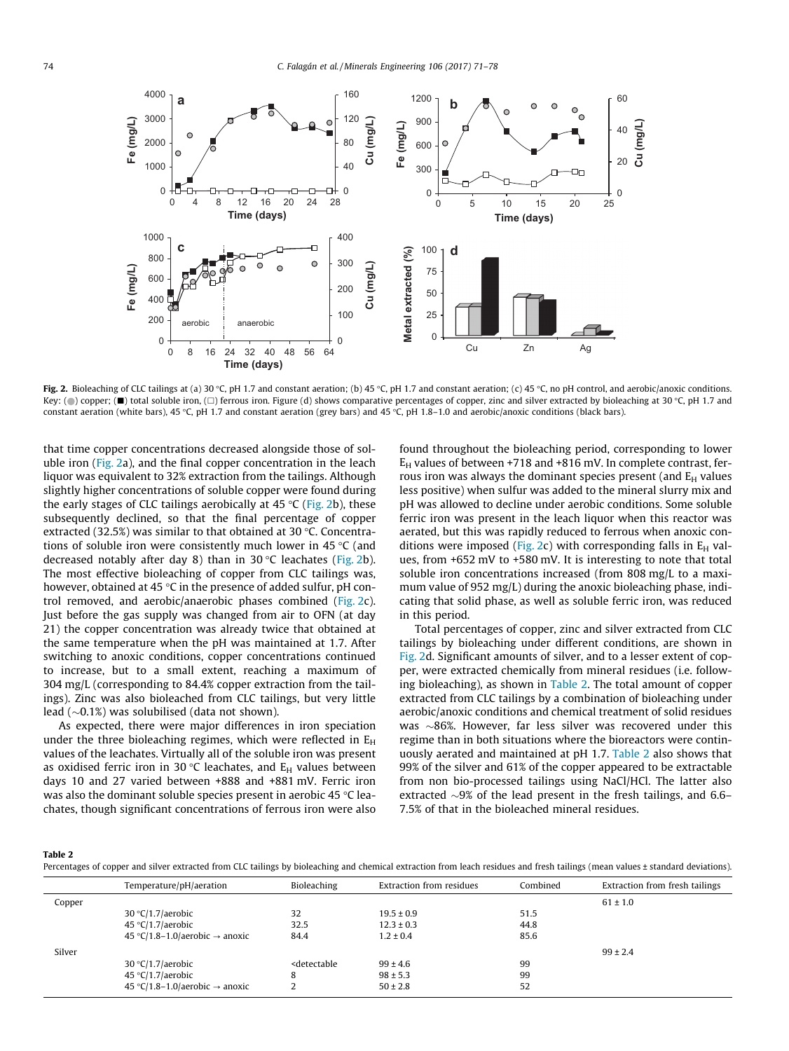

Fig. 2. Bioleaching of CLC tailings at (a) 30 °C, pH 1.7 and constant aeration; (b) 45 °C, pH 1.7 and constant aeration; (c) 45 °C, no pH control, and aerobic/anoxic conditions. Key: ( $\bigcirc$ ) copper; ( $\blacksquare$ ) total soluble iron, ( $\Box$ ) ferrous iron. Figure (d) shows comparative percentages of copper, zinc and silver extracted by bioleaching at 30 °C, pH 1.7 and constant aeration (white bars), 45 °C, pH 1.7 and constant aeration (grey bars) and 45 °C, pH 1.8–1.0 and aerobic/anoxic conditions (black bars).

that time copper concentrations decreased alongside those of soluble iron (Fig. 2a), and the final copper concentration in the leach liquor was equivalent to 32% extraction from the tailings. Although slightly higher concentrations of soluble copper were found during the early stages of CLC tailings aerobically at  $45^{\circ}$ C (Fig. 2b), these subsequently declined, so that the final percentage of copper extracted (32.5%) was similar to that obtained at 30  $\degree$ C. Concentrations of soluble iron were consistently much lower in 45  $\degree$ C (and decreased notably after day 8) than in 30  $\degree$ C leachates (Fig. 2b). The most effective bioleaching of copper from CLC tailings was, however, obtained at 45  $\degree$ C in the presence of added sulfur, pH control removed, and aerobic/anaerobic phases combined (Fig. 2c). Just before the gas supply was changed from air to OFN (at day 21) the copper concentration was already twice that obtained at the same temperature when the pH was maintained at 1.7. After switching to anoxic conditions, copper concentrations continued to increase, but to a small extent, reaching a maximum of 304 mg/L (corresponding to 84.4% copper extraction from the tailings). Zinc was also bioleached from CLC tailings, but very little lead  $(\sim 0.1\%)$  was solubilised (data not shown).

As expected, there were major differences in iron speciation under the three bioleaching regimes, which were reflected in  $E_H$ values of the leachates. Virtually all of the soluble iron was present as oxidised ferric iron in 30 °C leachates, and  $E_H$  values between days 10 and 27 varied between +888 and +881 mV. Ferric iron was also the dominant soluble species present in aerobic 45  $\degree$ C leachates, though significant concentrations of ferrous iron were also

found throughout the bioleaching period, corresponding to lower  $E_H$  values of between +718 and +816 mV. In complete contrast, ferrous iron was always the dominant species present (and  $E_H$  values less positive) when sulfur was added to the mineral slurry mix and pH was allowed to decline under aerobic conditions. Some soluble ferric iron was present in the leach liquor when this reactor was aerated, but this was rapidly reduced to ferrous when anoxic conditions were imposed (Fig. 2c) with corresponding falls in  $E_H$  values, from +652 mV to +580 mV. It is interesting to note that total soluble iron concentrations increased (from 808 mg/L to a maximum value of 952 mg/L) during the anoxic bioleaching phase, indicating that solid phase, as well as soluble ferric iron, was reduced in this period.

Total percentages of copper, zinc and silver extracted from CLC tailings by bioleaching under different conditions, are shown in Fig. 2d. Significant amounts of silver, and to a lesser extent of copper, were extracted chemically from mineral residues (i.e. following bioleaching), as shown in Table 2. The total amount of copper extracted from CLC tailings by a combination of bioleaching under aerobic/anoxic conditions and chemical treatment of solid residues was  $\sim$ 86%. However, far less silver was recovered under this regime than in both situations where the bioreactors were continuously aerated and maintained at pH 1.7. Table 2 also shows that 99% of the silver and 61% of the copper appeared to be extractable from non bio-processed tailings using NaCl/HCl. The latter also extracted  $\sim$ 9% of the lead present in the fresh tailings, and 6.6– 7.5% of that in the bioleached mineral residues.

#### Table 2

Percentages of copper and silver extracted from CLC tailings by bioleaching and chemical extraction from leach residues and fresh tailings (mean values ± standard deviations).

|        | Temperature/pH/aeration                    | Bioleaching                                                                           | Extraction from residues | Combined | Extraction from fresh tailings |
|--------|--------------------------------------------|---------------------------------------------------------------------------------------|--------------------------|----------|--------------------------------|
| Copper |                                            |                                                                                       |                          |          | $61 \pm 1.0$                   |
|        | $30 °C/1.7/a$ erobic                       | 32                                                                                    | $19.5 \pm 0.9$           | 51.5     |                                |
|        | 45 °C/1.7/aerobic                          | 32.5                                                                                  | $12.3 \pm 0.3$           | 44.8     |                                |
|        | 45 °C/1.8–1.0/aerobic $\rightarrow$ anoxic | 84.4                                                                                  | $1.2 \pm 0.4$            | 85.6     |                                |
| Silver |                                            |                                                                                       |                          |          | $99 \pm 2.4$                   |
|        | 30 °C/1.7/aerobic                          | <detectable< td=""><td><math>99 \pm 4.6</math></td><td>99</td><td></td></detectable<> | $99 \pm 4.6$             | 99       |                                |
|        | 45 °C/1.7/aerobic                          | 8                                                                                     | $98 \pm 5.3$             | 99       |                                |
|        | 45 °C/1.8-1.0/aerobic $\rightarrow$ anoxic | ı                                                                                     | $50 \pm 2.8$             | 52       |                                |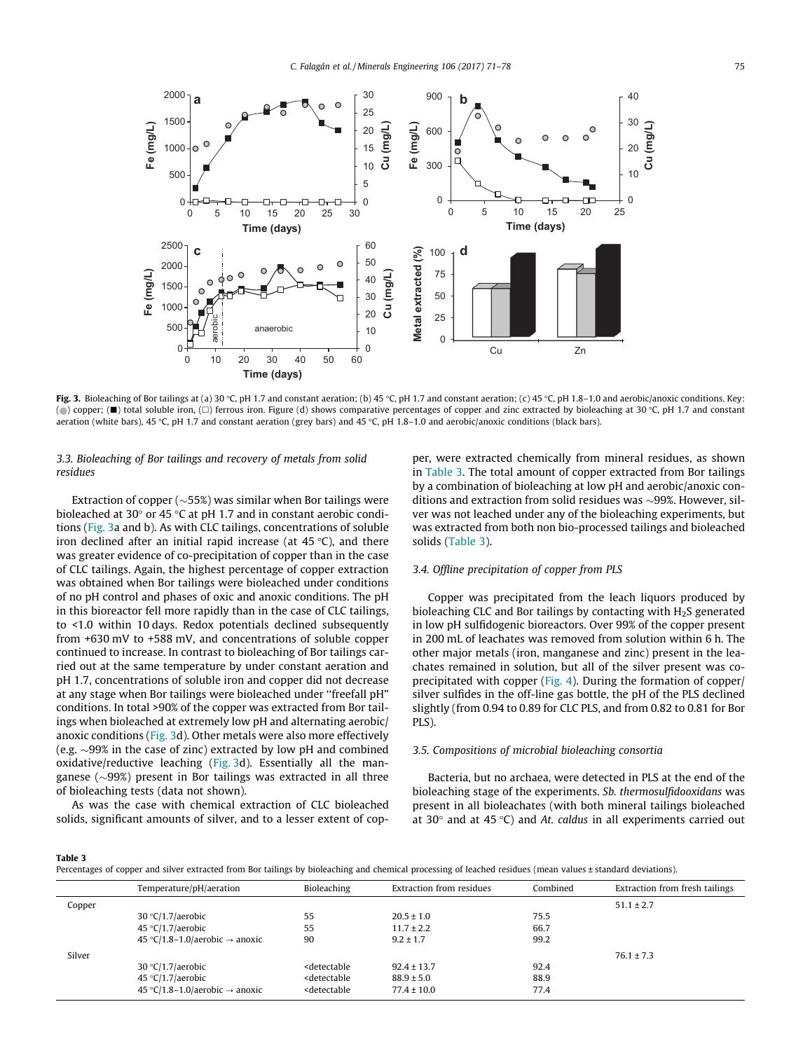

Fig. 3. Bioleaching of Bor tailings at (a) 30 °C, pH 1.7 and constant aeration; (b) 45 °C, pH 1.7 and constant aeration; (c) 45 °C, pH 1.8-1.0 and aerobic/anoxic conditions. Key: (○) copper; (■) total soluble iron, (□) ferrous iron. Figure (d) shows comparative percentages of copper and zinc extracted by bioleaching at 30 °C, pH 1.7 and constant aeration (white bars), 45 °C, pH 1.7 and constant aeration (grey bars) and 45 °C, pH 1.8–1.0 and aerobic/anoxic conditions (black bars).

# 3.3. Bioleaching of Bor tailings and recovery of metals from solid residues

Extraction of copper ( $\sim$ 55%) was similar when Bor tailings were bioleached at 30 $\degree$  or 45 $\degree$ C at pH 1.7 and in constant aerobic conditions (Fig. 3a and b). As with CLC tailings, concentrations of soluble iron declined after an initial rapid increase (at  $45^{\circ}$ C), and there was greater evidence of co-precipitation of copper than in the case of CLC tailings. Again, the highest percentage of copper extraction was obtained when Bor tailings were bioleached under conditions of no pH control and phases of oxic and anoxic conditions. The pH in this bioreactor fell more rapidly than in the case of CLC tailings, to <1.0 within 10 days. Redox potentials declined subsequently from +630 mV to +588 mV, and concentrations of soluble copper continued to increase. In contrast to bioleaching of Bor tailings carried out at the same temperature by under constant aeration and pH 1.7, concentrations of soluble iron and copper did not decrease at any stage when Bor tailings were bioleached under ''freefall pH" conditions. In total >90% of the copper was extracted from Bor tailings when bioleached at extremely low pH and alternating aerobic/ anoxic conditions (Fig. 3d). Other metals were also more effectively (e.g.  $\sim$ 99% in the case of zinc) extracted by low pH and combined oxidative/reductive leaching (Fig. 3d). Essentially all the manganese ( $\sim$ 99%) present in Bor tailings was extracted in all three of bioleaching tests (data not shown).

As was the case with chemical extraction of CLC bioleached solids, significant amounts of silver, and to a lesser extent of copper, were extracted chemically from mineral residues, as shown in Table 3. The total amount of copper extracted from Bor tailings by a combination of bioleaching at low pH and aerobic/anoxic conditions and extraction from solid residues was  $\sim$ 99%. However, silver was not leached under any of the bioleaching experiments, but was extracted from both non bio-processed tailings and bioleached solids (Table 3).

## 3.4. Offline precipitation of copper from PLS

Copper was precipitated from the leach liquors produced by bioleaching CLC and Bor tailings by contacting with  $H_2S$  generated in low pH sulfidogenic bioreactors. Over 99% of the copper present in 200 mL of leachates was removed from solution within 6 h. The other major metals (iron, manganese and zinc) present in the leachates remained in solution, but all of the silver present was coprecipitated with copper ([Fig. 4](#page-5-0)). During the formation of copper/ silver sulfides in the off-line gas bottle, the pH of the PLS declined slightly (from 0.94 to 0.89 for CLC PLS, and from 0.82 to 0.81 for Bor PLS).

#### 3.5. Compositions of microbial bioleaching consortia

Bacteria, but no archaea, were detected in PLS at the end of the bioleaching stage of the experiments. Sb. thermosulfidooxidans was present in all bioleachates (with both mineral tailings bioleached at 30 $\degree$  and at 45 $\degree$ C) and At. caldus in all experiments carried out

#### Table 3

Percentages of copper and silver extracted from Bor tailings by bioleaching and chemical processing of leached residues (mean values ± standard deviations).

|        | Temperature/pH/aeration                    | Bioleaching                                                                                | Extraction from residues | Combined | Extraction from fresh tailings |
|--------|--------------------------------------------|--------------------------------------------------------------------------------------------|--------------------------|----------|--------------------------------|
| Copper |                                            |                                                                                            |                          |          | $51.1 \pm 2.7$                 |
|        | $30 °C/1.7/a$ erobic                       | 55                                                                                         | $20.5 \pm 1.0$           | 75.5     |                                |
|        | 45 °C/1.7/aerobic                          | 55                                                                                         | $11.7 \pm 2.2$           | 66.7     |                                |
|        | 45 °C/1.8–1.0/aerobic $\rightarrow$ anoxic | 90                                                                                         | $9.2 \pm 1.7$            | 99.2     |                                |
| Silver |                                            |                                                                                            |                          |          | $76.1 \pm 7.3$                 |
|        | $30 °C/1.7/a$ erobic                       | <detectable< td=""><td><math>92.4 \pm 13.7</math></td><td>92.4</td><td></td></detectable<> | $92.4 \pm 13.7$          | 92.4     |                                |
|        | 45 °C/1.7/aerobic                          | <detectable< td=""><td><math>88.9 \pm 5.0</math></td><td>88.9</td><td></td></detectable<>  | $88.9 \pm 5.0$           | 88.9     |                                |
|        | 45 °C/1.8–1.0/aerobic $\rightarrow$ anoxic | <detectable< td=""><td><math>77.4 \pm 10.0</math></td><td>77.4</td><td></td></detectable<> | $77.4 \pm 10.0$          | 77.4     |                                |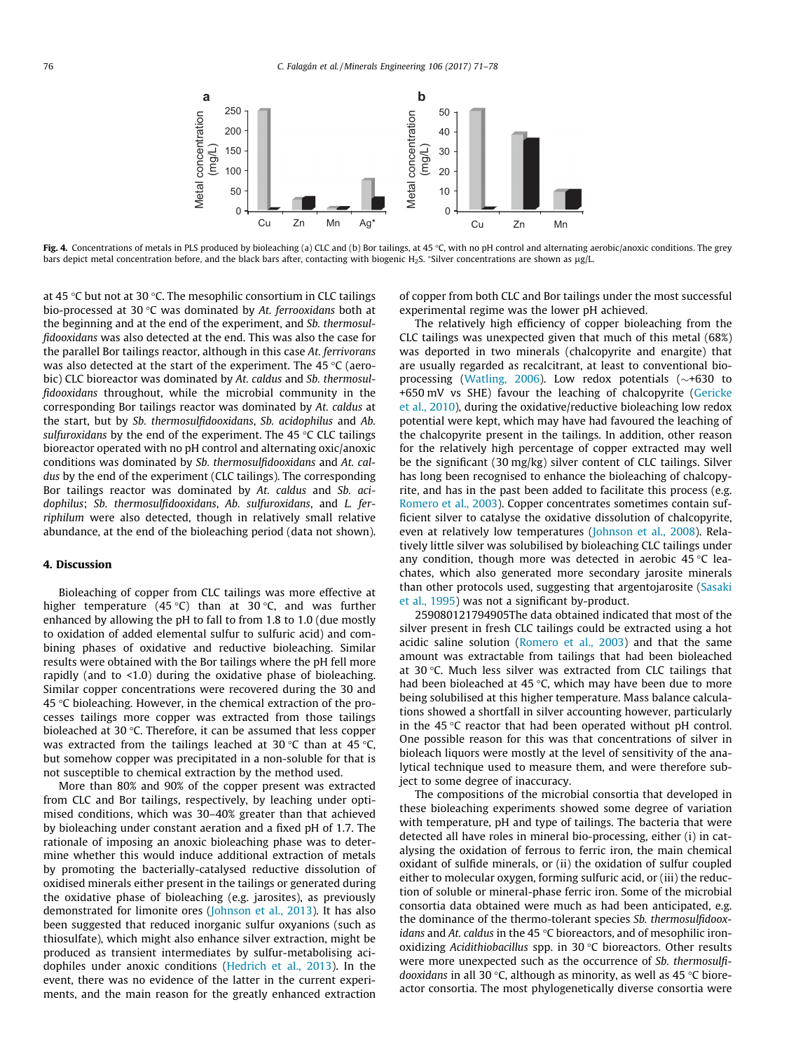<span id="page-5-0"></span>

Fig. 4. Concentrations of metals in PLS produced by bioleaching (a) CLC and (b) Bor tailings, at 45 °C, with no pH control and alternating aerobic/anoxic conditions. The grey bars depict metal concentration before, and the black bars after, contacting with biogenic H<sub>2</sub>S. \*Silver concentrations are shown as µg/L.

at 45 °C but not at 30 °C. The mesophilic consortium in CLC tailings bio-processed at 30  $\degree$ C was dominated by At. ferrooxidans both at the beginning and at the end of the experiment, and Sb. thermosulfidooxidans was also detected at the end. This was also the case for the parallel Bor tailings reactor, although in this case At. ferrivorans was also detected at the start of the experiment. The 45  $\degree$ C (aerobic) CLC bioreactor was dominated by At. caldus and Sb. thermosulfidooxidans throughout, while the microbial community in the corresponding Bor tailings reactor was dominated by At. caldus at the start, but by Sb. thermosulfidooxidans, Sb. acidophilus and Ab. sulfuroxidans by the end of the experiment. The 45  $\degree$ C CLC tailings bioreactor operated with no pH control and alternating oxic/anoxic conditions was dominated by Sb. thermosulfidooxidans and At. caldus by the end of the experiment (CLC tailings). The corresponding Bor tailings reactor was dominated by At. caldus and Sb. acidophilus; Sb. thermosulfidooxidans, Ab. sulfuroxidans, and L. ferriphilum were also detected, though in relatively small relative abundance, at the end of the bioleaching period (data not shown).

# 4. Discussion

Bioleaching of copper from CLC tailings was more effective at higher temperature (45 °C) than at 30 °C, and was further enhanced by allowing the pH to fall to from 1.8 to 1.0 (due mostly to oxidation of added elemental sulfur to sulfuric acid) and combining phases of oxidative and reductive bioleaching. Similar results were obtained with the Bor tailings where the pH fell more rapidly (and to <1.0) during the oxidative phase of bioleaching. Similar copper concentrations were recovered during the 30 and 45  $\degree$ C bioleaching. However, in the chemical extraction of the processes tailings more copper was extracted from those tailings bioleached at 30 $\degree$ C. Therefore, it can be assumed that less copper was extracted from the tailings leached at 30 °C than at 45 °C, but somehow copper was precipitated in a non-soluble for that is not susceptible to chemical extraction by the method used.

More than 80% and 90% of the copper present was extracted from CLC and Bor tailings, respectively, by leaching under optimised conditions, which was 30–40% greater than that achieved by bioleaching under constant aeration and a fixed pH of 1.7. The rationale of imposing an anoxic bioleaching phase was to determine whether this would induce additional extraction of metals by promoting the bacterially-catalysed reductive dissolution of oxidised minerals either present in the tailings or generated during the oxidative phase of bioleaching (e.g. jarosites), as previously demonstrated for limonite ores [\(Johnson et al., 2013\)](#page-6-0). It has also been suggested that reduced inorganic sulfur oxyanions (such as thiosulfate), which might also enhance silver extraction, might be produced as transient intermediates by sulfur-metabolising acidophiles under anoxic conditions [\(Hedrich et al., 2013\)](#page-6-0). In the event, there was no evidence of the latter in the current experiments, and the main reason for the greatly enhanced extraction of copper from both CLC and Bor tailings under the most successful experimental regime was the lower pH achieved.

The relatively high efficiency of copper bioleaching from the CLC tailings was unexpected given that much of this metal (68%) was deported in two minerals (chalcopyrite and enargite) that are usually regarded as recalcitrant, at least to conventional bio-processing ([Watling, 2006\)](#page-7-0). Low redox potentials  $(\sim +630)$  to +650 mV vs SHE) favour the leaching of chalcopyrite [\(Gericke](#page-6-0) [et al., 2010](#page-6-0)), during the oxidative/reductive bioleaching low redox potential were kept, which may have had favoured the leaching of the chalcopyrite present in the tailings. In addition, other reason for the relatively high percentage of copper extracted may well be the significant (30 mg/kg) silver content of CLC tailings. Silver has long been recognised to enhance the bioleaching of chalcopyrite, and has in the past been added to facilitate this process (e.g. [Romero et al., 2003\)](#page-6-0). Copper concentrates sometimes contain sufficient silver to catalyse the oxidative dissolution of chalcopyrite, even at relatively low temperatures ([Johnson et al., 2008](#page-6-0)). Relatively little silver was solubilised by bioleaching CLC tailings under any condition, though more was detected in aerobic 45  $\degree$ C leachates, which also generated more secondary jarosite minerals than other protocols used, suggesting that argentojarosite [\(Sasaki](#page-7-0) [et al., 1995\)](#page-7-0) was not a significant by-product.

259080121794905The data obtained indicated that most of the silver present in fresh CLC tailings could be extracted using a hot acidic saline solution [\(Romero et al., 2003](#page-6-0)) and that the same amount was extractable from tailings that had been bioleached at 30 $\degree$ C. Much less silver was extracted from CLC tailings that had been bioleached at 45  $\degree$ C, which may have been due to more being solubilised at this higher temperature. Mass balance calculations showed a shortfall in silver accounting however, particularly in the 45  $\degree$ C reactor that had been operated without pH control. One possible reason for this was that concentrations of silver in bioleach liquors were mostly at the level of sensitivity of the analytical technique used to measure them, and were therefore subject to some degree of inaccuracy.

The compositions of the microbial consortia that developed in these bioleaching experiments showed some degree of variation with temperature, pH and type of tailings. The bacteria that were detected all have roles in mineral bio-processing, either (i) in catalysing the oxidation of ferrous to ferric iron, the main chemical oxidant of sulfide minerals, or (ii) the oxidation of sulfur coupled either to molecular oxygen, forming sulfuric acid, or (iii) the reduction of soluble or mineral-phase ferric iron. Some of the microbial consortia data obtained were much as had been anticipated, e.g. the dominance of the thermo-tolerant species Sb. thermosulfidooxidans and At. caldus in the 45  $\degree$ C bioreactors, and of mesophilic ironoxidizing Acidithiobacillus spp. in 30  $°C$  bioreactors. Other results were more unexpected such as the occurrence of Sb. thermosulfidooxidans in all 30 °C, although as minority, as well as 45 °C bioreactor consortia. The most phylogenetically diverse consortia were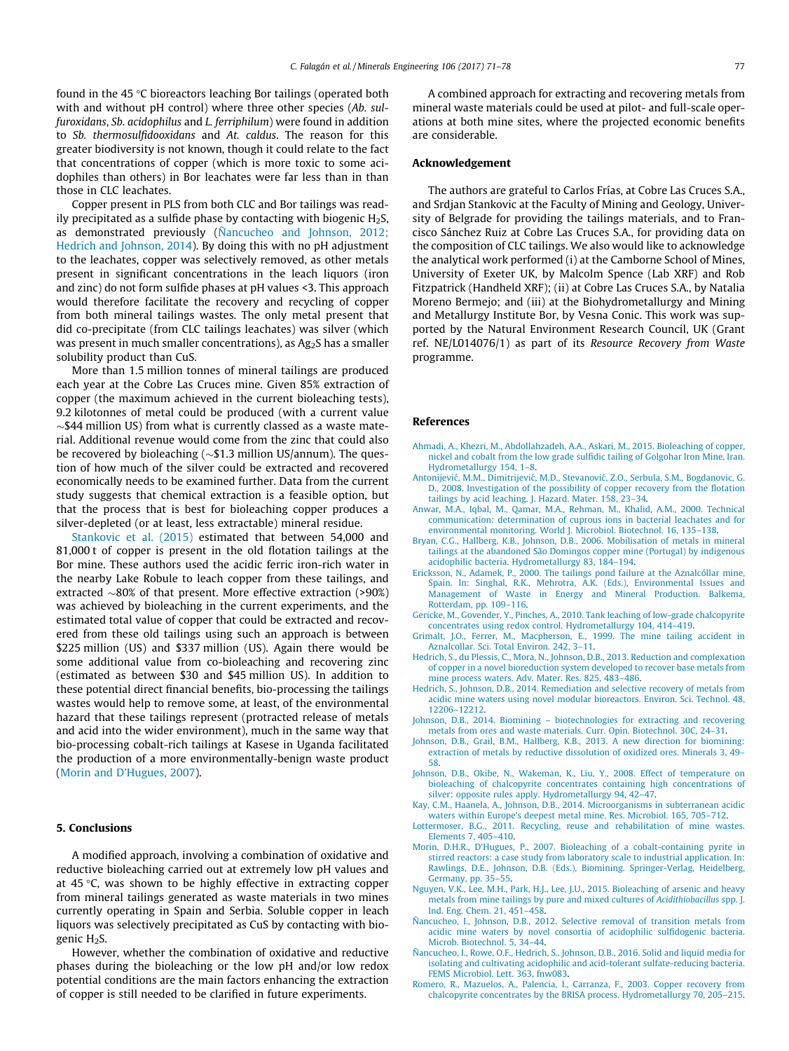<span id="page-6-0"></span>found in the 45  $\degree$ C bioreactors leaching Bor tailings (operated both with and without pH control) where three other species (Ab. sulfuroxidans, Sb. acidophilus and L. ferriphilum) were found in addition to Sb. thermosulfidooxidans and At. caldus. The reason for this greater biodiversity is not known, though it could relate to the fact that concentrations of copper (which is more toxic to some acidophiles than others) in Bor leachates were far less than in than those in CLC leachates.

Copper present in PLS from both CLC and Bor tailings was readily precipitated as a sulfide phase by contacting with biogenic  $H_2S$ , as demonstrated previously (Ñancucheo and Johnson, 2012; Hedrich and Johnson, 2014). By doing this with no pH adjustment to the leachates, copper was selectively removed, as other metals present in significant concentrations in the leach liquors (iron and zinc) do not form sulfide phases at pH values <3. This approach would therefore facilitate the recovery and recycling of copper from both mineral tailings wastes. The only metal present that did co-precipitate (from CLC tailings leachates) was silver (which was present in much smaller concentrations), as  $Ag<sub>2</sub>S$  has a smaller solubility product than CuS.

More than 1.5 million tonnes of mineral tailings are produced each year at the Cobre Las Cruces mine. Given 85% extraction of copper (the maximum achieved in the current bioleaching tests), 9.2 kilotonnes of metal could be produced (with a current value  $\sim$ \$44 million US) from what is currently classed as a waste material. Additional revenue would come from the zinc that could also be recovered by bioleaching  $({\sim}$ \$1.3 million US/annum). The question of how much of the silver could be extracted and recovered economically needs to be examined further. Data from the current study suggests that chemical extraction is a feasible option, but that the process that is best for bioleaching copper produces a silver-depleted (or at least, less extractable) mineral residue.

[Stankovic et al. \(2015\)](#page-7-0) estimated that between 54,000 and 81,000 t of copper is present in the old flotation tailings at the Bor mine. These authors used the acidic ferric iron-rich water in the nearby Lake Robule to leach copper from these tailings, and extracted  $\sim80\%$  of that present. More effective extraction (>90%) was achieved by bioleaching in the current experiments, and the estimated total value of copper that could be extracted and recovered from these old tailings using such an approach is between \$225 million (US) and \$337 million (US). Again there would be some additional value from co-bioleaching and recovering zinc (estimated as between \$30 and \$45 million US). In addition to these potential direct financial benefits, bio-processing the tailings wastes would help to remove some, at least, of the environmental hazard that these tailings represent (protracted release of metals and acid into the wider environment), much in the same way that bio-processing cobalt-rich tailings at Kasese in Uganda facilitated the production of a more environmentally-benign waste product (Morin and D'Hugues, 2007).

## 5. Conclusions

A modified approach, involving a combination of oxidative and reductive bioleaching carried out at extremely low pH values and at  $45$  °C, was shown to be highly effective in extracting copper from mineral tailings generated as waste materials in two mines currently operating in Spain and Serbia. Soluble copper in leach liquors was selectively precipitated as CuS by contacting with biogenic H<sub>2</sub>S.

However, whether the combination of oxidative and reductive phases during the bioleaching or the low pH and/or low redox potential conditions are the main factors enhancing the extraction of copper is still needed to be clarified in future experiments.

A combined approach for extracting and recovering metals from mineral waste materials could be used at pilot- and full-scale operations at both mine sites, where the projected economic benefits are considerable.

## Acknowledgement

The authors are grateful to Carlos Frías, at Cobre Las Cruces S.A., and Srdjan Stankovic at the Faculty of Mining and Geology, University of Belgrade for providing the tailings materials, and to Francisco Sánchez Ruiz at Cobre Las Cruces S.A., for providing data on the composition of CLC tailings. We also would like to acknowledge the analytical work performed (i) at the Camborne School of Mines, University of Exeter UK, by Malcolm Spence (Lab XRF) and Rob Fitzpatrick (Handheld XRF); (ii) at Cobre Las Cruces S.A., by Natalia Moreno Bermejo; and (iii) at the Biohydrometallurgy and Mining and Metallurgy Institute Bor, by Vesna Conic. This work was supported by the Natural Environment Research Council, UK (Grant ref. NE/L014076/1) as part of its Resource Recovery from Waste programme.

## References

- [Ahmadi, A., Khezri, M., Abdollahzadeh, A.A., Askari, M., 2015. Bioleaching of copper,](http://refhub.elsevier.com/S0892-6875(16)30345-4/h0005) [nickel and cobalt from the low grade sulfidic tailing of Golgohar Iron Mine, Iran.](http://refhub.elsevier.com/S0892-6875(16)30345-4/h0005) [Hydrometallurgy 154, 1–8.](http://refhub.elsevier.com/S0892-6875(16)30345-4/h0005)
- Antonijević, M.M., Dimitrijević, M.D., Stevanović, Z.O., Serbula, S.M., Bogdanovic, G. [D., 2008. Investigation of the possibility of copper recovery from the flotation](http://refhub.elsevier.com/S0892-6875(16)30345-4/h0010) [tailings by acid leaching. J. Hazard. Mater. 158, 23–34.](http://refhub.elsevier.com/S0892-6875(16)30345-4/h0010)
- [Anwar, M.A., Iqbal, M., Qamar, M.A., Rehman, M., Khalid, A.M., 2000. Technical](http://refhub.elsevier.com/S0892-6875(16)30345-4/h0015) [communication: determination of cuprous ions in bacterial leachates and for](http://refhub.elsevier.com/S0892-6875(16)30345-4/h0015) [environmental monitoring. World J. Microbiol. Biotechnol. 16, 135–138](http://refhub.elsevier.com/S0892-6875(16)30345-4/h0015).
- [Bryan, C.G., Hallberg, K.B., Johnson, D.B., 2006. Mobilisation of metals in mineral](http://refhub.elsevier.com/S0892-6875(16)30345-4/h0020) [tailings at the abandoned São Domingos copper mine \(Portugal\) by indigenous](http://refhub.elsevier.com/S0892-6875(16)30345-4/h0020) [acidophilic bacteria. Hydrometallurgy 83, 184–194](http://refhub.elsevier.com/S0892-6875(16)30345-4/h0020).
- [Ericksson, N., Adamek, P., 2000. The tailings pond failure at the Aznalcóllar mine,](http://refhub.elsevier.com/S0892-6875(16)30345-4/h0025) [Spain. In: Singhal, R.K., Mehrotra, A.K. \(Eds.\), Environmental Issues and](http://refhub.elsevier.com/S0892-6875(16)30345-4/h0025) [Management of Waste in Energy and Mineral Production. Balkema,](http://refhub.elsevier.com/S0892-6875(16)30345-4/h0025) [Rotterdam, pp. 109–116](http://refhub.elsevier.com/S0892-6875(16)30345-4/h0025).
- [Gericke, M., Govender, Y., Pinches, A., 2010. Tank leaching of low-grade chalcopyrite](http://refhub.elsevier.com/S0892-6875(16)30345-4/h9000) [concentrates using redox control. Hydrometallurgy 104, 414–419.](http://refhub.elsevier.com/S0892-6875(16)30345-4/h9000)
- [Grimalt, J.O., Ferrer, M., Macpherson, E., 1999. The mine tailing accident in](http://refhub.elsevier.com/S0892-6875(16)30345-4/h0030) [Aznalcollar. Sci. Total Environ. 242, 3–11.](http://refhub.elsevier.com/S0892-6875(16)30345-4/h0030)
- [Hedrich, S., du Plessis, C., Mora, N., Johnson, D.B., 2013. Reduction and complexation](http://refhub.elsevier.com/S0892-6875(16)30345-4/h0035) [of copper in a novel bioreduction system developed to recover base metals from](http://refhub.elsevier.com/S0892-6875(16)30345-4/h0035) [mine process waters. Adv. Mater. Res. 825, 483–486.](http://refhub.elsevier.com/S0892-6875(16)30345-4/h0035)
- [Hedrich, S., Johnson, D.B., 2014. Remediation and selective recovery of metals from](http://refhub.elsevier.com/S0892-6875(16)30345-4/h0040) [acidic mine waters using novel modular bioreactors. Environ. Sci. Technol. 48,](http://refhub.elsevier.com/S0892-6875(16)30345-4/h0040) [12206–12212](http://refhub.elsevier.com/S0892-6875(16)30345-4/h0040).
- [Johnson, D.B., 2014. Biomining biotechnologies for extracting and recovering](http://refhub.elsevier.com/S0892-6875(16)30345-4/h0045) [metals from ores and waste materials. Curr. Opin. Biotechnol. 30C, 24–31.](http://refhub.elsevier.com/S0892-6875(16)30345-4/h0045)
- [Johnson, D.B., Grail, B.M., Hallberg, K.B., 2013. A new direction for biomining:](http://refhub.elsevier.com/S0892-6875(16)30345-4/h0050) [extraction of metals by reductive dissolution of oxidized ores. Minerals 3, 49–](http://refhub.elsevier.com/S0892-6875(16)30345-4/h0050) [58](http://refhub.elsevier.com/S0892-6875(16)30345-4/h0050).
- [Johnson, D.B., Okibe, N., Wakeman, K., Liu, Y., 2008. Effect of temperature on](http://refhub.elsevier.com/S0892-6875(16)30345-4/h0055) [bioleaching of chalcopyrite concentrates containing high concentrations of](http://refhub.elsevier.com/S0892-6875(16)30345-4/h0055) [silver: opposite rules apply. Hydrometallurgy 94, 42–47](http://refhub.elsevier.com/S0892-6875(16)30345-4/h0055).
- [Kay, C.M., Haanela, A., Johnson, D.B., 2014. Microorganisms in subterranean acidic](http://refhub.elsevier.com/S0892-6875(16)30345-4/h0060) [waters within Europe's deepest metal mine. Res. Microbiol. 165, 705–712.](http://refhub.elsevier.com/S0892-6875(16)30345-4/h0060)
- [Lottermoser, B.G., 2011. Recycling, reuse and rehabilitation of mine wastes.](http://refhub.elsevier.com/S0892-6875(16)30345-4/h0065) [Elements 7, 405–410](http://refhub.elsevier.com/S0892-6875(16)30345-4/h0065).
- [Morin, D.H.R., D'Hugues, P., 2007. Bioleaching of a cobalt-containing pyrite in](http://refhub.elsevier.com/S0892-6875(16)30345-4/h0070) [stirred reactors: a case study from laboratory scale to industrial application. In:](http://refhub.elsevier.com/S0892-6875(16)30345-4/h0070) [Rawlings, D.E., Johnson, D.B. \(Eds.\), Biomining. Springer-Verlag, Heidelberg,](http://refhub.elsevier.com/S0892-6875(16)30345-4/h0070) [Germany, pp. 35–55](http://refhub.elsevier.com/S0892-6875(16)30345-4/h0070).
- [Nguyen, V.K., Lee, M.H., Park, H.J., Lee, J.U., 2015. Bioleaching of arsenic and heavy](http://refhub.elsevier.com/S0892-6875(16)30345-4/h0075) [metals from mine tailings by pure and mixed cultures of](http://refhub.elsevier.com/S0892-6875(16)30345-4/h0075) Acidithiobacillus spp. J. [Ind. Eng. Chem. 21, 451–458.](http://refhub.elsevier.com/S0892-6875(16)30345-4/h0075)
- [Ñancucheo, I., Johnson, D.B., 2012. Selective removal of transition metals from](http://refhub.elsevier.com/S0892-6875(16)30345-4/h0080) [acidic mine waters by novel consortia of acidophilic sulfidogenic bacteria.](http://refhub.elsevier.com/S0892-6875(16)30345-4/h0080) [Microb. Biotechnol. 5, 34–44.](http://refhub.elsevier.com/S0892-6875(16)30345-4/h0080)
- [Ñancucheo, I., Rowe, O.F., Hedrich, S., Johnson, D.B., 2016. Solid and liquid media for](http://refhub.elsevier.com/S0892-6875(16)30345-4/h0085) [isolating and cultivating acidophilic and acid-tolerant sulfate-reducing bacteria.](http://refhub.elsevier.com/S0892-6875(16)30345-4/h0085) [FEMS Microbiol. Lett. 363, fnw083](http://refhub.elsevier.com/S0892-6875(16)30345-4/h0085).
- [Romero, R., Mazuelos, A., Palencia, I., Carranza, F., 2003. Copper recovery from](http://refhub.elsevier.com/S0892-6875(16)30345-4/h0090) [chalcopyrite concentrates by the BRISA process. Hydrometallurgy 70, 205–215.](http://refhub.elsevier.com/S0892-6875(16)30345-4/h0090)